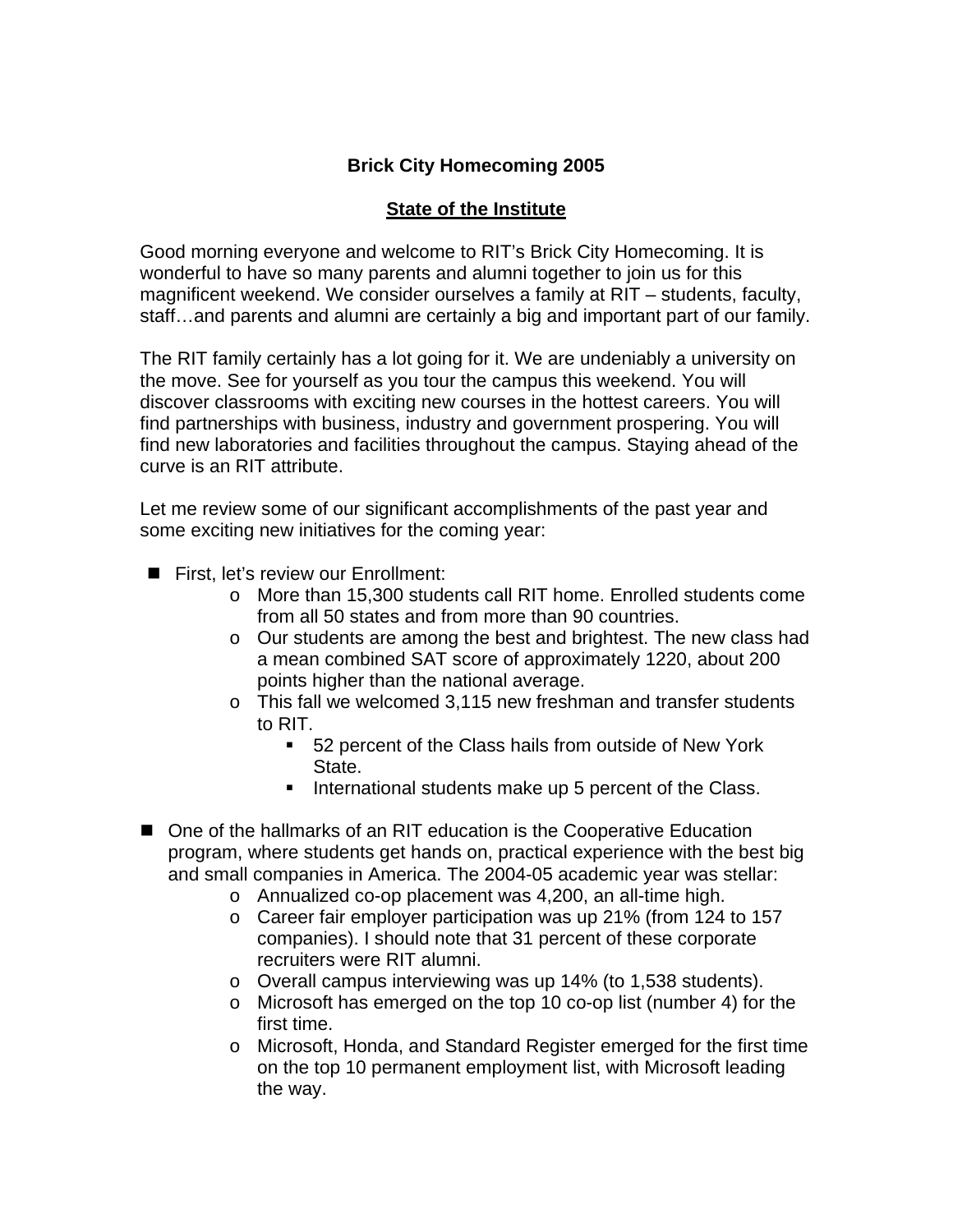# **Brick City Homecoming 2005**

## **State of the Institute**

Good morning everyone and welcome to RIT's Brick City Homecoming. It is wonderful to have so many parents and alumni together to join us for this magnificent weekend. We consider ourselves a family at RIT – students, faculty, staff…and parents and alumni are certainly a big and important part of our family.

The RIT family certainly has a lot going for it. We are undeniably a university on the move. See for yourself as you tour the campus this weekend. You will discover classrooms with exciting new courses in the hottest careers. You will find partnerships with business, industry and government prospering. You will find new laboratories and facilities throughout the campus. Staying ahead of the curve is an RIT attribute.

Let me review some of our significant accomplishments of the past year and some exciting new initiatives for the coming year:

- First, let's review our Enrollment:
	- o More than 15,300 students call RIT home. Enrolled students come from all 50 states and from more than 90 countries.
	- o Our students are among the best and brightest. The new class had a mean combined SAT score of approximately 1220, about 200 points higher than the national average.
	- o This fall we welcomed 3,115 new freshman and transfer students to RIT.
		- 52 percent of the Class hails from outside of New York State.
		- International students make up 5 percent of the Class.
- One of the hallmarks of an RIT education is the Cooperative Education program, where students get hands on, practical experience with the best big and small companies in America. The 2004-05 academic year was stellar:
	- o Annualized co-op placement was 4,200, an all-time high.
	- o Career fair employer participation was up 21% (from 124 to 157 companies). I should note that 31 percent of these corporate recruiters were RIT alumni.
	- o Overall campus interviewing was up 14% (to 1,538 students).
	- o Microsoft has emerged on the top 10 co-op list (number 4) for the first time.
	- o Microsoft, Honda, and Standard Register emerged for the first time on the top 10 permanent employment list, with Microsoft leading the way.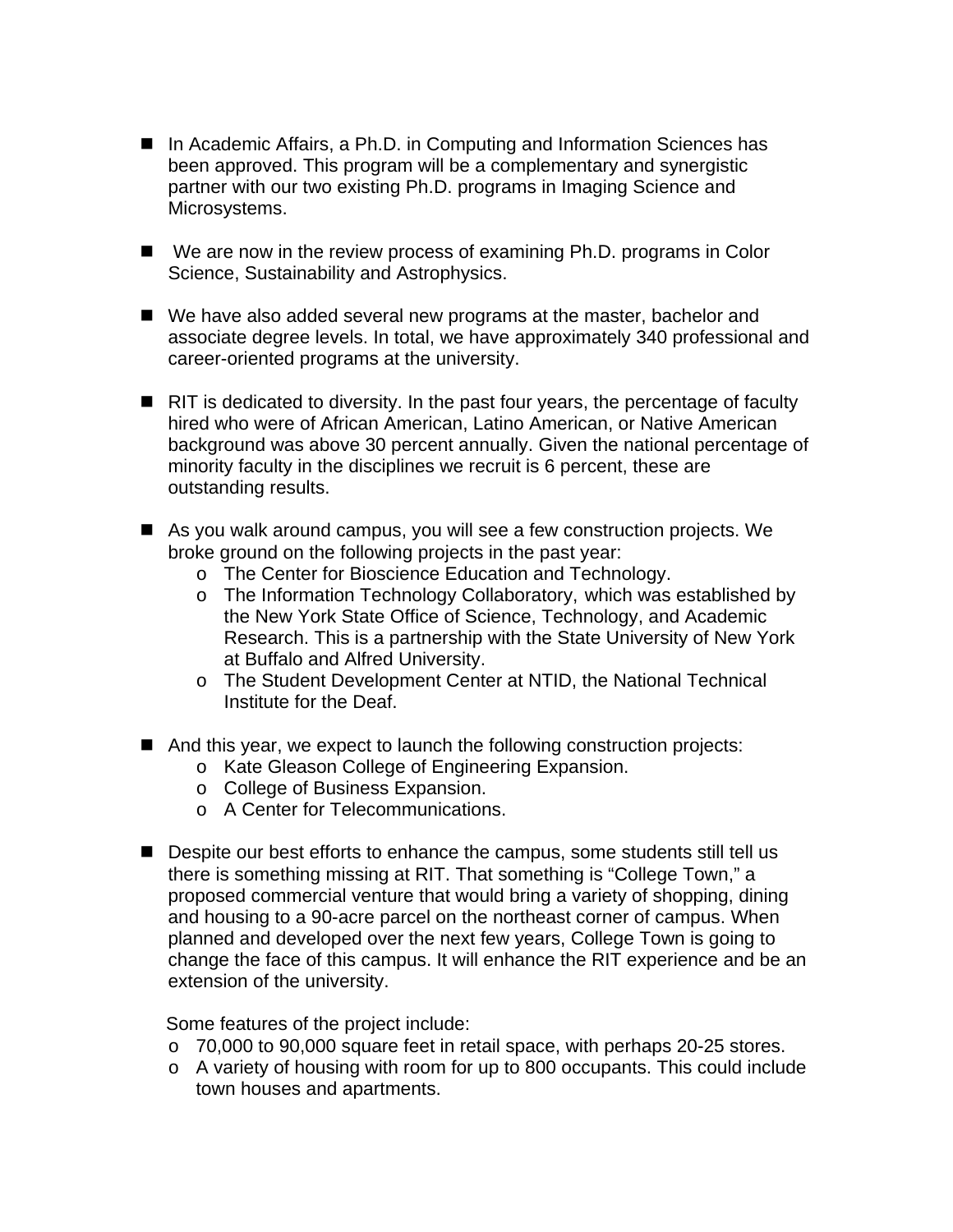- In Academic Affairs, a Ph.D. in Computing and Information Sciences has been approved. This program will be a complementary and synergistic partner with our two existing Ph.D. programs in Imaging Science and Microsystems.
- We are now in the review process of examining Ph.D. programs in Color Science, Sustainability and Astrophysics.
- We have also added several new programs at the master, bachelor and associate degree levels. In total, we have approximately 340 professional and career-oriented programs at the university.
- $\blacksquare$  RIT is dedicated to diversity. In the past four years, the percentage of faculty hired who were of African American, Latino American, or Native American background was above 30 percent annually. Given the national percentage of minority faculty in the disciplines we recruit is 6 percent, these are outstanding results.
- As you walk around campus, you will see a few construction projects. We broke ground on the following projects in the past year:
	- o The Center for Bioscience Education and Technology.
	- o The Information Technology Collaboratory, which was established by the New York State Office of Science, Technology, and Academic Research. This is a partnership with the State University of New York at Buffalo and Alfred University.
	- o The Student Development Center at NTID, the National Technical Institute for the Deaf.
- And this year, we expect to launch the following construction projects:
	- o Kate Gleason College of Engineering Expansion.
	- o College of Business Expansion.
	- o A Center for Telecommunications.
- Despite our best efforts to enhance the campus, some students still tell us there is something missing at RIT. That something is "College Town," a proposed commercial venture that would bring a variety of shopping, dining and housing to a 90-acre parcel on the northeast corner of campus. When planned and developed over the next few years, College Town is going to change the face of this campus. It will enhance the RIT experience and be an extension of the university.

Some features of the project include:

- o 70,000 to 90,000 square feet in retail space, with perhaps 20-25 stores.
- o A variety of housing with room for up to 800 occupants. This could include town houses and apartments.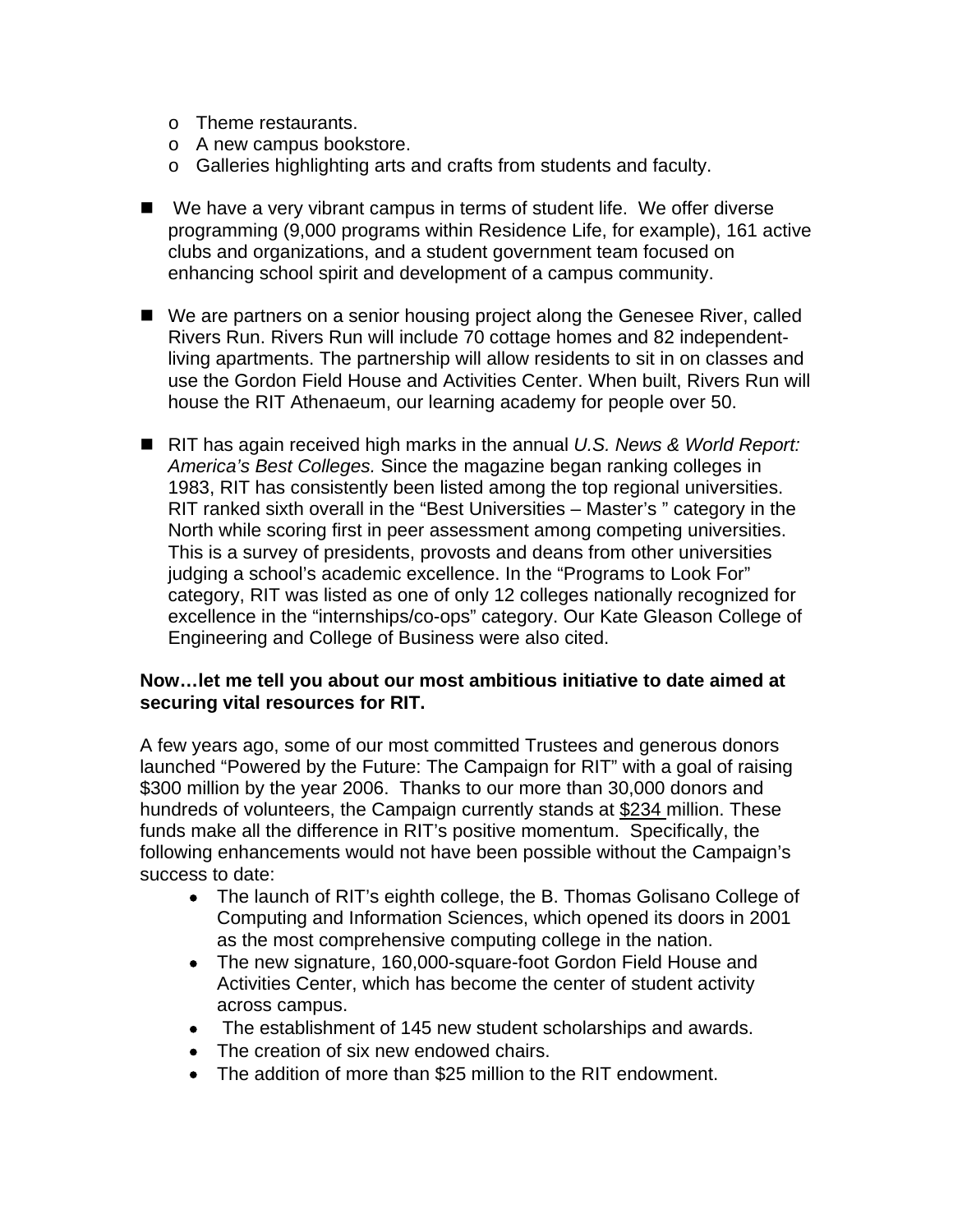- o Theme restaurants.
- o A new campus bookstore.
- o Galleries highlighting arts and crafts from students and faculty.
- We have a very vibrant campus in terms of student life. We offer diverse programming (9,000 programs within Residence Life, for example), 161 active clubs and organizations, and a student government team focused on enhancing school spirit and development of a campus community.
- We are partners on a senior housing project along the Genesee River, called Rivers Run. Rivers Run will include 70 cottage homes and 82 independentliving apartments. The partnership will allow residents to sit in on classes and use the Gordon Field House and Activities Center. When built, Rivers Run will house the RIT Athenaeum, our learning academy for people over 50.
- RIT has again received high marks in the annual *U.S. News & World Report: America's Best Colleges.* Since the magazine began ranking colleges in 1983, RIT has consistently been listed among the top regional universities. RIT ranked sixth overall in the "Best Universities – Master's " category in the North while scoring first in peer assessment among competing universities. This is a survey of presidents, provosts and deans from other universities judging a school's academic excellence. In the "Programs to Look For" category, RIT was listed as one of only 12 colleges nationally recognized for excellence in the "internships/co-ops" category. Our Kate Gleason College of Engineering and College of Business were also cited.

#### **Now…let me tell you about our most ambitious initiative to date aimed at securing vital resources for RIT.**

A few years ago, some of our most committed Trustees and generous donors launched "Powered by the Future: The Campaign for RIT" with a goal of raising \$300 million by the year 2006. Thanks to our more than 30,000 donors and hundreds of volunteers, the Campaign currently stands at \$234 million. These funds make all the difference in RIT's positive momentum. Specifically, the following enhancements would not have been possible without the Campaign's success to date:

- The launch of RIT's eighth college, the B. Thomas Golisano College of Computing and Information Sciences, which opened its doors in 2001 as the most comprehensive computing college in the nation.
- The new signature, 160,000-square-foot Gordon Field House and Activities Center, which has become the center of student activity across campus.
- The establishment of 145 new student scholarships and awards.
- The creation of six new endowed chairs.
- The addition of more than \$25 million to the RIT endowment.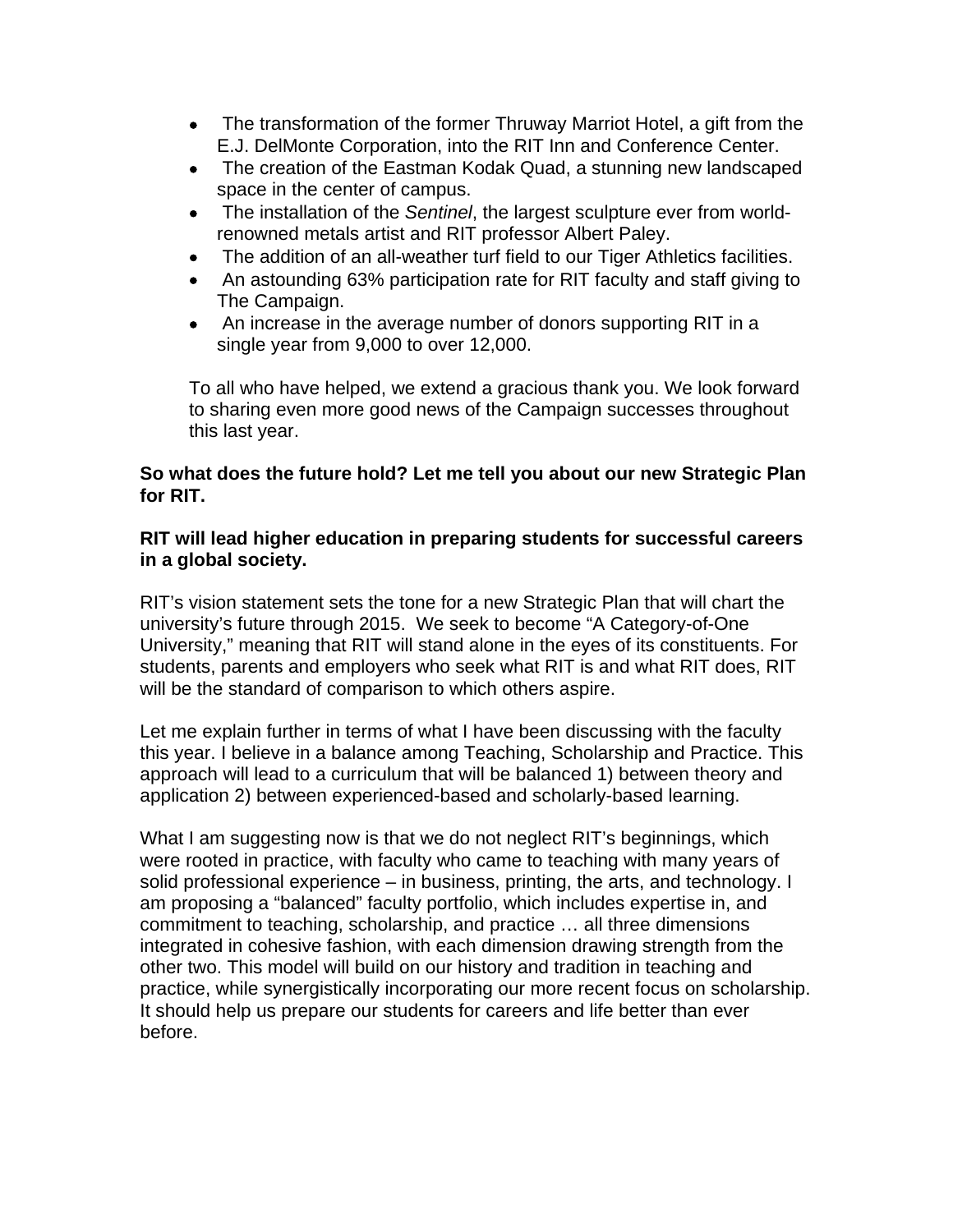- The transformation of the former Thruway Marriot Hotel, a gift from the E.J. DelMonte Corporation, into the RIT Inn and Conference Center.
- The creation of the Eastman Kodak Quad, a stunning new landscaped space in the center of campus.
- The installation of the *Sentinel*, the largest sculpture ever from worldrenowned metals artist and RIT professor Albert Paley.
- The addition of an all-weather turf field to our Tiger Athletics facilities.
- An astounding 63% participation rate for RIT faculty and staff giving to The Campaign.
- An increase in the average number of donors supporting RIT in a single year from 9,000 to over 12,000.

To all who have helped, we extend a gracious thank you. We look forward to sharing even more good news of the Campaign successes throughout this last year.

### **So what does the future hold? Let me tell you about our new Strategic Plan for RIT.**

### **RIT will lead higher education in preparing students for successful careers in a global society.**

RIT's vision statement sets the tone for a new Strategic Plan that will chart the university's future through 2015. We seek to become "A Category-of-One University," meaning that RIT will stand alone in the eyes of its constituents. For students, parents and employers who seek what RIT is and what RIT does, RIT will be the standard of comparison to which others aspire.

Let me explain further in terms of what I have been discussing with the faculty this year. I believe in a balance among Teaching, Scholarship and Practice. This approach will lead to a curriculum that will be balanced 1) between theory and application 2) between experienced-based and scholarly-based learning.

What I am suggesting now is that we do not neglect RIT's beginnings, which were rooted in practice, with faculty who came to teaching with many years of solid professional experience – in business, printing, the arts, and technology. I am proposing a "balanced" faculty portfolio, which includes expertise in, and commitment to teaching, scholarship, and practice … all three dimensions integrated in cohesive fashion, with each dimension drawing strength from the other two. This model will build on our history and tradition in teaching and practice, while synergistically incorporating our more recent focus on scholarship. It should help us prepare our students for careers and life better than ever before.